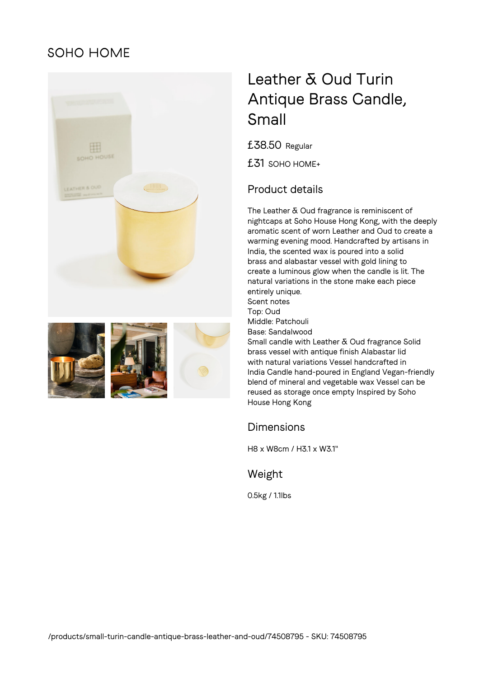## **SOHO HOME**





# Leather & Oud Turin Antique Brass Candle, Small

£38.50 Regular

£31 SOHO HOME+

### Product details

The Leather & Oud fragrance is reminiscent of nightcaps at Soho House Hong Kong, with the deeply aromatic scent of worn Leather and Oud to create a warming evening mood. Handcrafted by artisans in India, the scented wax is poured into a solid brass and alabastar vessel with gold lining to create a luminous glow when the candle is lit. The natural variations in the stone make each piece entirely unique. Scent notes Top: Oud Middle: Patchouli Base: Sandalwood Small candle with Leather & Oud fragrance Solid brass vessel with antique finish Alabastar lid with natural variations Vessel handcrafted in India Candle hand-poured in England Vegan-friendly blend of mineral and vegetable wax Vessel can be reused as storage once empty Inspired by Soho House Hong Kong

#### Dimensions

H8 x W8cm / H3.1 x W3.1"

#### Weight

0.5kg / 1.1lbs